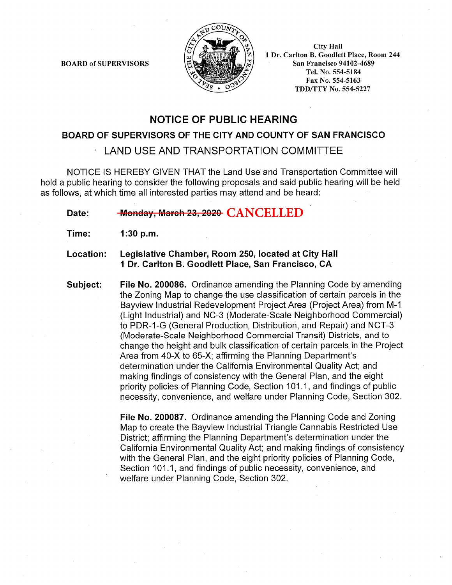**BOARD of SUPERVISORS** 



**City Hall** 1 Dr. Carlton B. Goodlett Place, Room 244 **San Francisco 94102-4689** Tel. No. 554-5184 Fax No. 554-5163 TDD/TTY No. 554-5227

# **NOTICE OF PUBLIC HEARING**

## BOARD OF SUPERVISORS OF THE CITY AND COUNTY OF SAN FRANCISCO

LAND USE AND TRANSPORTATION COMMITTEE

NOTICE IS HEREBY GIVEN THAT the Land Use and Transportation Committee will hold a public hearing to consider the following proposals and said public hearing will be held as follows, at which time all interested parties may attend and be heard:

#### Monday, March 23, 2020 CANCELLED Date:

- Time:  $1:30 p.m.$
- Legislative Chamber, Room 250, located at City Hall Location: 1 Dr. Carlton B. Goodlett Place, San Francisco, CA
- Subject: File No. 200086. Ordinance amending the Planning Code by amending the Zoning Map to change the use classification of certain parcels in the Bayview Industrial Redevelopment Project Area (Project Area) from M-1 (Light Industrial) and NC-3 (Moderate-Scale Neighborhood Commercial) to PDR-1-G (General Production, Distribution, and Repair) and NCT-3 (Moderate-Scale Neighborhood Commercial Transit) Districts, and to change the height and bulk classification of certain parcels in the Project Area from 40-X to 65-X; affirming the Planning Department's determination under the California Environmental Quality Act; and making findings of consistency with the General Plan, and the eight priority policies of Planning Code, Section 101.1, and findings of public necessity, convenience, and welfare under Planning Code, Section 302.

File No. 200087. Ordinance amending the Planning Code and Zoning Map to create the Bayview Industrial Triangle Cannabis Restricted Use District; affirming the Planning Department's determination under the California Environmental Quality Act: and making findings of consistency with the General Plan, and the eight priority policies of Planning Code, Section 101.1, and findings of public necessity, convenience, and welfare under Planning Code, Section 302.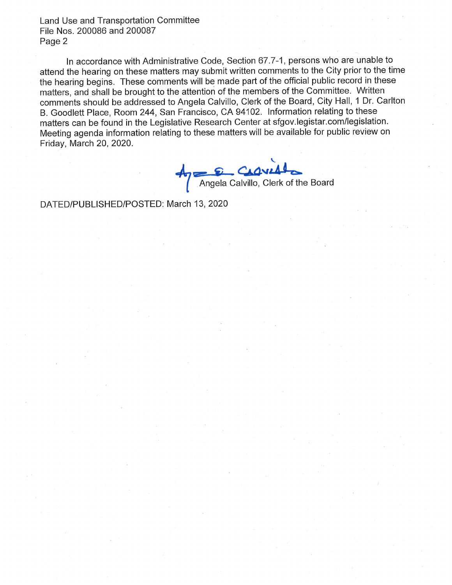Land Use and Transportation Committee File Nos. 200086 and 200087 Page 2

In accordance with Administrative Code, Section 67.7-1, persons who are unable to attend the hearing on these matters may submit written comments to the City prior to the time the hearing begins. These comments will be made part of the official public record in these matters, and shall be brought to the attention of the members of the Committee. Written comments should be addressed to Angela Calvillo, Clerk of the Board, City Hall, 1 Dr. Carlton B. Goodlett Place, Room 244, San Francisco, CA 94102. Information relating to these matters can be found in the Legislative Research Center at sfgov.legistar.com/legislation. Meeting agenda information relating to these matters will be available for public review on Friday, March 20, 2020.

**CLOVIAL**<br>Angela Calvillo, Clerk of the Board

DATED/PUBLISHED/POSTED: March 13, 2020